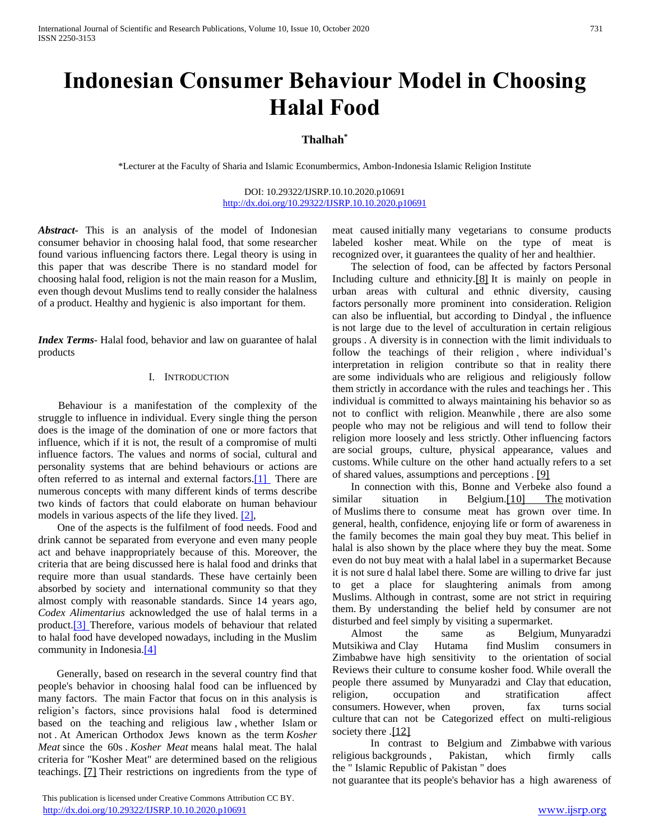# **Indonesian Consumer Behaviour Model in Choosing Halal Food**

## **Thalhah\***

\*Lecturer at the Faculty of Sharia and Islamic Econumbermics, Ambon-Indonesia Islamic Religion Institute

DOI: 10.29322/IJSRP.10.10.2020.p10691 <http://dx.doi.org/10.29322/IJSRP.10.10.2020.p10691>

*Abstract***-** This is an analysis of the model of Indonesian consumer behavior in choosing halal food, that some researcher found various influencing factors there. Legal theory is using in this paper that was describe There is no standard model for choosing halal food, religion is not the main reason for a Muslim, even though devout Muslims tend to really consider the halalness of a product. Healthy and hygienic is also important for them.

*Index Terms*- Halal food, behavior and law on guarantee of halal products

## I. INTRODUCTION

 Behaviour is a manifestation of the complexity of the struggle to influence in individual. Every single thing the person does is the image of the domination of one or more factors that influence, which if it is not, the result of a compromise of multi influence factors. The values and norms of social, cultural and personality systems that are behind behaviours or actions are often referred to as internal and external factors[.\[1\]](https://translate.googleusercontent.com/translate_f#_ftn1) There are numerous concepts with many different kinds of terms describe two kinds of factors that could elaborate on human behaviour models in various aspects of the life they lived.  $[2]$ ,

 One of the aspects is the fulfilment of food needs. Food and drink cannot be separated from everyone and even many people act and behave inappropriately because of this. Moreover, the criteria that are being discussed here is halal food and drinks that require more than usual standards. These have certainly been absorbed by society and international community so that they almost comply with reasonable standards. Since 14 years ago, *Codex Alimentarius* acknowledged the use of halal terms in a product[.\[3\] T](https://translate.googleusercontent.com/translate_f#_ftn3)herefore, various models of behaviour that related to halal food have developed nowadays, including in the Muslim community in Indonesi[a.\[4\]](https://translate.googleusercontent.com/translate_f#_ftn4)

 Generally, based on research in the several country find that people's behavior in choosing halal food can be influenced by many factors. The main Factor that focus on in this analysis is religion's factors, since provisions halal food is determined based on the teaching and religious law , whether Islam or not . At American Orthodox Jews known as the term *Kosher Meat* since the 60s . *Kosher Meat* means halal meat. The halal criteria for "Kosher Meat" are determined based on the religious teachings. [\[7\]](/Users/hasbollahtoisuta/Downloads/translate_proposal%20.webarchive#_ftn7) Their restrictions on ingredients from the type of meat caused initially many vegetarians to consume products labeled kosher meat. While on the type of meat is recognized over, it guarantees the quality of her and healthier.

 The selection of food, can be affected by factors Personal Including culture and ethnicity.<sup>[\[8\]](/Users/hasbollahtoisuta/Downloads/translate_proposal%20.webarchive#_ftn8)</sup> It is mainly on people in urban areas with cultural and ethnic diversity, causing factors personally more prominent into consideration. Religion can also be influential, but according to Dindyal , the influence is not large due to the level of acculturation in certain religious groups . A diversity is in connection with the limit individuals to follow the teachings of their religion, where individual's interpretation in religion contribute so that in reality there are some individuals who are religious and religiously follow them strictly in accordance with the rules and teachings her . This individual is committed to always maintaining his behavior so as not to conflict with religion. Meanwhile , there are also some people who may not be religious and will tend to follow their religion more loosely and less strictly. Other influencing factors are social groups, culture, physical appearance, values and customs. While culture on the other hand actually refers to a set of shared values, assumptions and perceptions . [\[9\]](/Users/hasbollahtoisuta/Downloads/translate_proposal%20.webarchive#_ftn9)

 In connection with this, Bonne and Verbeke also found a similar situation in Belgium.<sup>[10]</sup> The motivation of Muslims there to consume meat has grown over time. In general, health, confidence, enjoying life or form of awareness in the family becomes the main goal they buy meat. This belief in halal is also shown by the place where they buy the meat. Some even do not buy meat with a halal label in a supermarket Because it is not sure d halal label there. Some are willing to drive far just to get a place for slaughtering animals from among Muslims. Although in contrast, some are not strict in requiring them. By understanding the belief held by consumer are not disturbed and feel simply by visiting a supermarket.

 Almost the same as Belgium, Munyaradzi Mutsikiwa and Clay Hutama find Muslim consumers in Zimbabwe have high sensitivity to the orientation of social Reviews their culture to consume kosher food. While overall the people there assumed by Munyaradzi and Clay that education, religion, occupation and stratification affect consumers. However, when proven, fax turns social culture that can not be Categorized effect on multi-religious society there .[\[12\]](/Users/hasbollahtoisuta/Downloads/translate_proposal%20.webarchive#_ftn12)

In contrast to Belgium and Zimbabwe with various religious backgrounds , Pakistan, which firmly calls the " Islamic Republic of Pakistan " does

not guarantee that its people's behavior has a high awareness of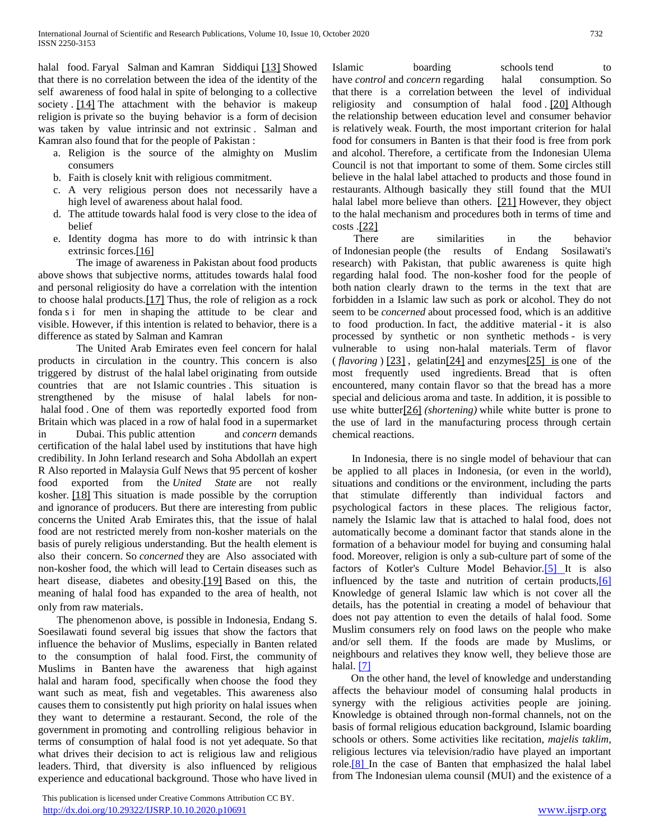halal food. Faryal Salman and Kamran Siddiqui [\[13\]](/Users/hasbollahtoisuta/Downloads/translate_proposal%20.webarchive#_ftn13) Showed that there is no correlation between the idea of the identity of the self awareness of food halal in spite of belonging to a collective society . [\[14\]](/Users/hasbollahtoisuta/Downloads/translate_proposal%20.webarchive#_ftn14) The attachment with the behavior is makeup religion is private so the buying behavior is a form of decision was taken by value intrinsic and not extrinsic . Salman and Kamran also found that for the people of Pakistan :

- a. Religion is the source of the almighty on Muslim consumers
- b. Faith is closely knit with religious commitment.
- c. A very religious person does not necessarily have a high level of awareness about halal food.
- d. The attitude towards halal food is very close to the idea of belief
- e. Identity dogma has more to do with intrinsic k than extrinsic forces[.\[16\]](/Users/hasbollahtoisuta/Downloads/translate_proposal%20.webarchive#_ftn16)

The image of awareness in Pakistan about food products above shows that subjective norms, attitudes towards halal food and personal religiosity do have a correlation with the intention to choose halal products.[\[17\]](/Users/hasbollahtoisuta/Downloads/translate_proposal%20.webarchive#_ftn17) Thus, the role of religion as a rock fonda s i for men in shaping the attitude to be clear and visible. However, if this intention is related to behavior, there is a difference as stated by Salman and Kamran

The United Arab Emirates even feel concern for halal products in circulation in the country. This concern is also triggered by distrust of the halal label originating from outside countries that are not Islamic countries . This situation is strengthened by the misuse of halal labels for nonhalal food . One of them was reportedly exported food from Britain which was placed in a row of halal food in a supermarket in Dubai. This public attention and *concern* demands certification of the halal label used by institutions that have high credibility. In John Ierland research and Soha Abdollah an expert R Also reported in Malaysia Gulf News that 95 percent of kosher food exported from the *United State* are not really kosher. [\[18\]](/Users/hasbollahtoisuta/Downloads/translate_proposal%20.webarchive#_ftn18) This situation is made possible by the corruption and ignorance of producers. But there are interesting from public concerns the United Arab Emirates this, that the issue of halal food are not restricted merely from non-kosher materials on the basis of purely religious understanding. But the health element is also their concern. So *concerned* they are Also associated with non-kosher food, the which will lead to Certain diseases such as heart disease, diabetes and obesity.<sup>[\[19\]](/Users/hasbollahtoisuta/Downloads/translate_proposal%20.webarchive#_ftn19)</sup> Based on this, the meaning of halal food has expanded to the area of health, not only from raw materials.

 The phenomenon above, is possible in Indonesia, Endang S. Soesilawati found several big issues that show the factors that influence the behavior of Muslims, especially in Banten related to the consumption of halal food. First, the community of Muslims in Banten have the awareness that high against halal and haram food, specifically when choose the food they want such as meat, fish and vegetables. This awareness also causes them to consistently put high priority on halal issues when they want to determine a restaurant. Second, the role of the government in promoting and controlling religious behavior in terms of consumption of halal food is not yet adequate. So that what drives their decision to act is religious law and religious leaders. Third, that diversity is also influenced by religious experience and educational background. Those who have lived in

 This publication is licensed under Creative Commons Attribution CC BY. <http://dx.doi.org/10.29322/IJSRP.10.10.2020.p10691> [www.ijsrp.org](http://ijsrp.org/)

Islamic boarding schools tend to have *control* and *concern* regarding halal consumption. So that there is a correlation between the level of individual religiosity and consumption of halal food . [\[20\]](/Users/hasbollahtoisuta/Downloads/translate_proposal%20.webarchive#_ftn20) Although the relationship between education level and consumer behavior is relatively weak. Fourth, the most important criterion for halal food for consumers in Banten is that their food is free from pork and alcohol. Therefore, a certificate from the Indonesian Ulema Council is not that important to some of them. Some circles still believe in the halal label attached to products and those found in restaurants. Although basically they still found that the MUI halal label more believe than others. [\[21\]](/Users/hasbollahtoisuta/Downloads/translate_proposal%20.webarchive#_ftn21) However, they object to the halal mechanism and procedures both in terms of time and costs .[\[22\]](/Users/hasbollahtoisuta/Downloads/translate_proposal%20.webarchive#_ftn22)

 There are similarities in the behavior of Indonesian people (the results of Endang Sosilawati's research) with Pakistan, that public awareness is quite high regarding halal food. The non-kosher food for the people of both nation clearly drawn to the terms in the text that are forbidden in a Islamic law such as pork or alcohol. They do not seem to be *concerned* about processed food, which is an additive to food production. In fact, the additive material - it is also processed by synthetic or non synthetic methods - is very vulnerable to using non-halal materials. Term of flavor  $(flavoring)$  [\[23\]](/Users/hasbollahtoisuta/Downloads/translate_proposal%20.webarchive#_ftn23), gelatin<sup>[\[24\]](/Users/hasbollahtoisuta/Downloads/translate_proposal%20.webarchive#_ftn24)</sup> and enzymes<sup>[25]</sup> is one of the most frequently used ingredients. Bread that is often encountered, many contain flavor so that the bread has a more special and delicious aroma and taste. In addition, it is possible to use white butter[\[26\]](/Users/hasbollahtoisuta/Downloads/translate_proposal%20.webarchive#_ftn26) *(shortening)* while white butter is prone to the use of lard in the manufacturing process through certain chemical reactions.

 In Indonesia, there is no single model of behaviour that can be applied to all places in Indonesia, (or even in the world), situations and conditions or the environment, including the parts that stimulate differently than individual factors and psychological factors in these places. The religious factor, namely the Islamic law that is attached to halal food, does not automatically become a dominant factor that stands alone in the formation of a behaviour model for buying and consuming halal food. Moreover, religion is only a sub-culture part of some of the factors of Kotler's Culture Model Behavior[.\[5\] I](https://translate.googleusercontent.com/translate_f#_ftn5)t is also influenced by the taste and nutrition of certain products[,\[6\]](https://translate.googleusercontent.com/translate_f#_ftn6)  Knowledge of general Islamic law which is not cover all the details, has the potential in creating a model of behaviour that does not pay attention to even the details of halal food. Some Muslim consumers rely on food laws on the people who make and/or sell them. If the foods are made by Muslims, or neighbours and relatives they know well, they believe those are halal[. \[7\]](https://translate.googleusercontent.com/translate_f#_ftn7)

 On the other hand, the level of knowledge and understanding affects the behaviour model of consuming halal products in synergy with the religious activities people are joining. Knowledge is obtained through non-formal channels, not on the basis of formal religious education background, Islamic boarding schools or others. Some activities like recitation, *majelis taklim*, religious lectures via television/radio have played an important role[.\[8\] I](https://translate.googleusercontent.com/translate_f#_ftn8)n the case of Banten that emphasized the halal label from The Indonesian ulema counsil (MUI) and the existence of a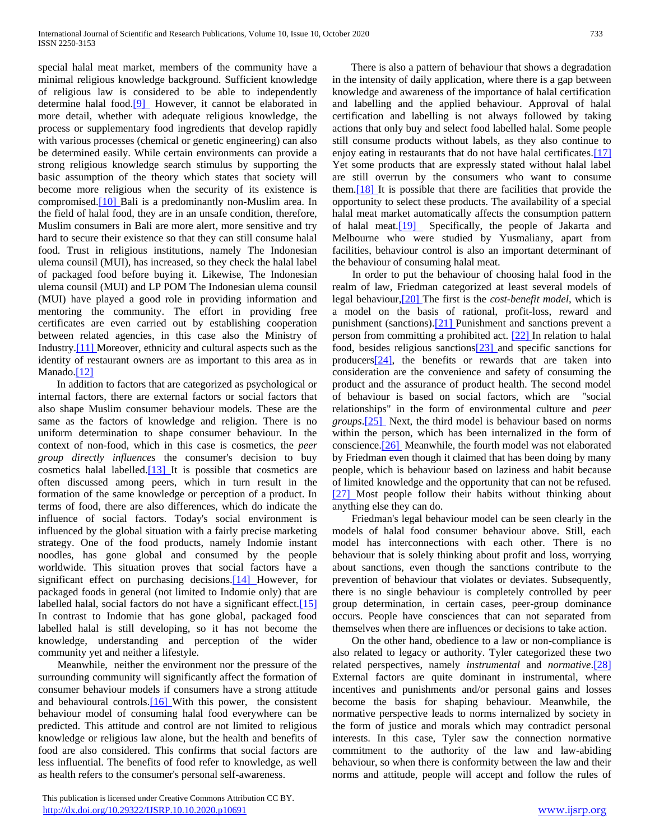special halal meat market, members of the community have a minimal religious knowledge background. Sufficient knowledge of religious law is considered to be able to independently determine halal food.<sup>[9]</sup> However, it cannot be elaborated in more detail, whether with adequate religious knowledge, the process or supplementary food ingredients that develop rapidly with various processes (chemical or genetic engineering) can also be determined easily. While certain environments can provide a strong religious knowledge search stimulus by supporting the basic assumption of the theory which states that society will become more religious when the security of its existence is compromised[.\[10\] B](https://translate.googleusercontent.com/translate_f#_ftn10)ali is a predominantly non-Muslim area. In the field of halal food, they are in an unsafe condition, therefore, Muslim consumers in Bali are more alert, more sensitive and try hard to secure their existence so that they can still consume halal food. Trust in religious institutions, namely The Indonesian ulema counsil (MUI), has increased, so they check the halal label of packaged food before buying it. Likewise, The Indonesian ulema counsil (MUI) and LP POM The Indonesian ulema counsil (MUI) have played a good role in providing information and mentoring the community. The effort in providing free certificates are even carried out by establishing cooperation between related agencies, in this case also the Ministry of Industry[.\[11\] M](https://translate.googleusercontent.com/translate_f#_ftn11)oreover, ethnicity and cultural aspects such as the identity of restaurant owners are as important to this area as in Manado.<sup>[12]</sup>

 In addition to factors that are categorized as psychological or internal factors, there are external factors or social factors that also shape Muslim consumer behaviour models. These are the same as the factors of knowledge and religion. There is no uniform determination to shape consumer behaviour. In the context of non-food, which in this case is cosmetics, the *peer group directly influences* the consumer's decision to buy cosmetics halal labelled[.\[13\] I](https://translate.googleusercontent.com/translate_f#_ftn13)t is possible that cosmetics are often discussed among peers, which in turn result in the formation of the same knowledge or perception of a product. In terms of food, there are also differences, which do indicate the influence of social factors. Today's social environment is influenced by the global situation with a fairly precise marketing strategy. One of the food products, namely Indomie instant noodles, has gone global and consumed by the people worldwide. This situation proves that social factors have a significant effect on purchasing decisions.<sup>[14]</sup> However, for packaged foods in general (not limited to Indomie only) that are labelled halal, social factors do not have a significant effect.<sup>[15]</sup> In contrast to Indomie that has gone global, packaged food labelled halal is still developing, so it has not become the knowledge, understanding and perception of the wider community yet and neither a lifestyle.

 Meanwhile, neither the environment nor the pressure of the surrounding community will significantly affect the formation of consumer behaviour models if consumers have a strong attitude and behavioural controls[.\[16\] W](https://translate.googleusercontent.com/translate_f#_ftn16)ith this power, the consistent behaviour model of consuming halal food everywhere can be predicted. This attitude and control are not limited to religious knowledge or religious law alone, but the health and benefits of food are also considered. This confirms that social factors are less influential. The benefits of food refer to knowledge, as well as health refers to the consumer's personal self-awareness.

 This publication is licensed under Creative Commons Attribution CC BY. <http://dx.doi.org/10.29322/IJSRP.10.10.2020.p10691> [www.ijsrp.org](http://ijsrp.org/)

 There is also a pattern of behaviour that shows a degradation in the intensity of daily application, where there is a gap between knowledge and awareness of the importance of halal certification and labelling and the applied behaviour. Approval of halal certification and labelling is not always followed by taking actions that only buy and select food labelled halal. Some people still consume products without labels, as they also continue to enjoy eating in restaurants that do not have halal certificates.<sup>[17]</sup> Yet some products that are expressly stated without halal label are still overrun by the consumers who want to consume the[m.\[18\] I](https://translate.googleusercontent.com/translate_f#_ftn18)t is possible that there are facilities that provide the opportunity to select these products. The availability of a special halal meat market automatically affects the consumption pattern of halal meat[.\[19\]](https://translate.googleusercontent.com/translate_f#_ftn19) Specifically, the people of Jakarta and Melbourne who were studied by Yusmaliany, apart from facilities, behaviour control is also an important determinant of the behaviour of consuming halal meat.

 In order to put the behaviour of choosing halal food in the realm of law, Friedman categorized at least several models of legal behaviour[,\[20\] T](https://translate.googleusercontent.com/translate_f#_ftn20)he first is the *cost-benefit model*, which is a model on the basis of rational, profit-loss, reward and punishment (sanctions[\).\[21\] P](https://translate.googleusercontent.com/translate_f#_ftn21)unishment and sanctions prevent a person from committing a prohibited act. [\[22\] I](https://translate.googleusercontent.com/translate_f#_ftn22)n relation to halal food, besides religious sanction[s\[23\] a](https://translate.googleusercontent.com/translate_f#_ftn23)nd specific sanctions for producer[s\[24\],](https://translate.googleusercontent.com/translate_f#_ftn24) the benefits or rewards that are taken into consideration are the convenience and safety of consuming the product and the assurance of product health. The second model of behaviour is based on social factors, which are "social relationships" in the form of environmental culture and *peer groups*[.\[25\]](https://translate.googleusercontent.com/translate_f#_ftn25) Next, the third model is behaviour based on norms within the person, which has been internalized in the form of conscienc[e.\[26\]](https://translate.googleusercontent.com/translate_f#_ftn26) Meanwhile, the fourth model was not elaborated by Friedman even though it claimed that has been doing by many people, which is behaviour based on laziness and habit because of limited knowledge and the opportunity that can not be refused. [\[27\] M](https://translate.googleusercontent.com/translate_f#_ftn27)ost people follow their habits without thinking about anything else they can do.

 Friedman's legal behaviour model can be seen clearly in the models of halal food consumer behaviour above. Still, each model has interconnections with each other. There is no behaviour that is solely thinking about profit and loss, worrying about sanctions, even though the sanctions contribute to the prevention of behaviour that violates or deviates. Subsequently, there is no single behaviour is completely controlled by peer group determination, in certain cases, peer-group dominance occurs. People have consciences that can not separated from themselves when there are influences or decisions to take action.

 On the other hand, obedience to a law or non-compliance is also related to legacy or authority. Tyler categorized these two related perspectives, namely *instrumental* and *normative*[.\[28\]](https://translate.googleusercontent.com/translate_f#_ftn28)  External factors are quite dominant in instrumental, where incentives and punishments and/or personal gains and losses become the basis for shaping behaviour. Meanwhile, the normative perspective leads to norms internalized by society in the form of justice and morals which may contradict personal interests. In this case, Tyler saw the connection normative commitment to the authority of the law and law-abiding behaviour, so when there is conformity between the law and their norms and attitude, people will accept and follow the rules of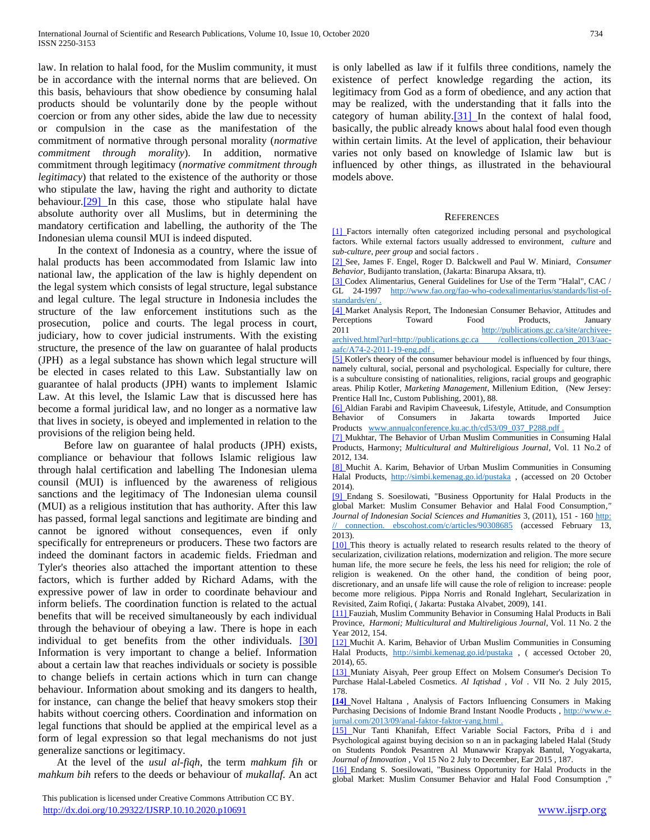law. In relation to halal food, for the Muslim community, it must be in accordance with the internal norms that are believed. On this basis, behaviours that show obedience by consuming halal products should be voluntarily done by the people without coercion or from any other sides, abide the law due to necessity or compulsion in the case as the manifestation of the commitment of normative through personal morality (*normative commitment through morality*). In addition, normative commitment through legitimacy (*normative commitment through legitimacy*) that related to the existence of the authority or those who stipulate the law, having the right and authority to dictate behaviour[.\[29\] I](https://translate.googleusercontent.com/translate_f#_ftn29)n this case, those who stipulate halal have absolute authority over all Muslims, but in determining the mandatory certification and labelling, the authority of the The Indonesian ulema counsil MUI is indeed disputed.

 In the context of Indonesia as a country, where the issue of halal products has been accommodated from Islamic law into national law, the application of the law is highly dependent on the legal system which consists of legal structure, legal substance and legal culture. The legal structure in Indonesia includes the structure of the law enforcement institutions such as the prosecution, police and courts. The legal process in court, judiciary, how to cover judicial instruments. With the existing structure, the presence of the law on guarantee of halal products (JPH) as a legal substance has shown which legal structure will be elected in cases related to this Law. Substantially law on guarantee of halal products (JPH) wants to implement Islamic Law. At this level, the Islamic Law that is discussed here has become a formal juridical law, and no longer as a normative law that lives in society, is obeyed and implemented in relation to the provisions of the religion being held.

 Before law on guarantee of halal products (JPH) exists, compliance or behaviour that follows Islamic religious law through halal certification and labelling The Indonesian ulema counsil (MUI) is influenced by the awareness of religious sanctions and the legitimacy of The Indonesian ulema counsil (MUI) as a religious institution that has authority. After this law has passed, formal legal sanctions and legitimate are binding and cannot be ignored without consequences, even if only specifically for entrepreneurs or producers. These two factors are indeed the dominant factors in academic fields. Friedman and Tyler's theories also attached the important attention to these factors, which is further added by Richard Adams, with the expressive power of law in order to coordinate behaviour and inform beliefs. The coordination function is related to the actual benefits that will be received simultaneously by each individual through the behaviour of obeying a law. There is hope in each individual to get benefits from the other individuals. [\[30\]](https://translate.googleusercontent.com/translate_f#_ftn30)  Information is very important to change a belief. Information about a certain law that reaches individuals or society is possible to change beliefs in certain actions which in turn can change behaviour. Information about smoking and its dangers to health, for instance, can change the belief that heavy smokers stop their habits without coercing others. Coordination and information on legal functions that should be applied at the empirical level as a form of legal expression so that legal mechanisms do not just generalize sanctions or legitimacy.

 At the level of the *usul al-fiqh*, the term *mahkum fih* or *mahkum bih* refers to the deeds or behaviour of *mukallaf.* An act is only labelled as law if it fulfils three conditions, namely the existence of perfect knowledge regarding the action, its legitimacy from God as a form of obedience, and any action that may be realized, with the understanding that it falls into the category of human ability. $[31]$  In the context of halal food, basically, the public already knows about halal food even though within certain limits. At the level of application, their behaviour varies not only based on knowledge of Islamic law but is influenced by other things, as illustrated in the behavioural models above.

### **REFERENCES**

[\[1\] F](https://translate.googleusercontent.com/translate_f#_ftnref1)actors internally often categorized including personal and psychological factors. While external factors usually addressed to environment, *culture* and *sub-culture*, *peer group* and social factors .

[\[2\] S](https://translate.googleusercontent.com/translate_f#_ftnref2)ee, James F. Engel, Roger D. Balckwell and Paul W. Miniard, *Consumer Behavior,* Budijanto translation, (Jakarta: Binarupa Aksara, tt).

[\[3\] C](https://translate.googleusercontent.com/translate_f#_ftnref3)odex Alimentarius, General Guidelines for Use of the Term "Halal", CAC / GL 24-1997 [http://www.fao.org/fao-who-codexalimentarius/standards/list-of](https://translate.google.com/translate?hl=id&prev=_t&sl=id&tl=en&u=http://www.fao.org/fao-who-codexalimentarius/standards/list-of-standards/en/)[standards/en/](https://translate.google.com/translate?hl=id&prev=_t&sl=id&tl=en&u=http://www.fao.org/fao-who-codexalimentarius/standards/list-of-standards/en/) .

[\[4\] M](https://translate.googleusercontent.com/translate_f#_ftnref4)arket Analysis Report, The Indonesian Consumer Behavior, Attitudes and Perceptions Toward Food Products, January 2011 [http://publications.gc.ca/site/archivee-](https://translate.google.com/translate?hl=id&prev=_t&sl=id&tl=en&u=http://publications.gc.ca/site/archivee-archived.html%3Furl%3Dhttp://publications.gc.ca/collections/collection_2013/aac-aafc/A74-2-2011-19-eng.pdf)

[archived.html?url=http://publications.gc.ca /collections/collection\\_2013/aac](https://translate.google.com/translate?hl=id&prev=_t&sl=id&tl=en&u=http://publications.gc.ca/site/archivee-archived.html%3Furl%3Dhttp://publications.gc.ca/collections/collection_2013/aac-aafc/A74-2-2011-19-eng.pdf)[aafc/A74-2-2011-19-eng.pdf](https://translate.google.com/translate?hl=id&prev=_t&sl=id&tl=en&u=http://publications.gc.ca/site/archivee-archived.html%3Furl%3Dhttp://publications.gc.ca/collections/collection_2013/aac-aafc/A74-2-2011-19-eng.pdf) .

[\[5\] K](https://translate.googleusercontent.com/translate_f#_ftnref5)otler's theory of the consumer behaviour model is influenced by four things, namely cultural, social, personal and psychological. Especially for culture, there is a subculture consisting of nationalities, religions, racial groups and geographic areas. Philip Kotler, *Marketing Management*, Millenium Edition, (New Jersey: Prentice Hall Inc, Custom Publishing, 2001), 88.

[\[6\] A](https://translate.googleusercontent.com/translate_f#_ftnref6)ldian Farabi and Ravipim Chaveesuk, Lifestyle, Attitude, and Consumption Behavior of Consumers in Jakarta towards Imported Juice Products [www.annualconference.ku.ac.th/cd53/09\\_037\\_P288.pdf](https://translate.google.com/translate?hl=id&prev=_t&sl=id&tl=en&u=http://www.annualconference.ku.ac.th/cd53/09_037_P288.pdf).

[\[7\] M](https://translate.googleusercontent.com/translate_f#_ftnref7)ukhtar, The Behavior of Urban Muslim Communities in Consuming Halal Products, Harmony; *Multicultural and Multireligious Journal*, Vol. 11 No.2 of 2012, 134.

[\[8\] M](https://translate.googleusercontent.com/translate_f#_ftnref8)uchit A. Karim, Behavior of Urban Muslim Communities in Consuming Halal Products, [http://simbi.kemenag.go.id/pustaka](https://translate.google.com/translate?hl=id&prev=_t&sl=id&tl=en&u=http://simbi.kemenag.go.id/pustaka%2520) , (accessed on 20 October 2014).

[\[9\] E](https://translate.googleusercontent.com/translate_f#_ftnref9)ndang S. Soesilowati, "Business Opportunity for Halal Products in the global Market: Muslim Consumer Behavior and Halal Food Consumption*," Journal of Indonesian Social Sciences and Humanities* 3, (2011), 151 - 160 [http:](https://translate.google.com/translate?hl=id&prev=_t&sl=id&tl=en&u=http://connection.ebscohost.com/c/articles/90308685)  [// connection. ebscohost.com/c/articles/90308685](https://translate.google.com/translate?hl=id&prev=_t&sl=id&tl=en&u=http://connection.ebscohost.com/c/articles/90308685) (accessed February 13, 2013).

[\[10\] T](https://translate.googleusercontent.com/translate_f#_ftnref10)his theory is actually related to research results related to the theory of secularization, civilization relations, modernization and religion. The more secure human life, the more secure he feels, the less his need for religion; the role of religion is weakened. On the other hand, the condition of being poor, discretionary, and an unsafe life will cause the role of religion to increase: people become more religious. Pippa Norris and Ronald Inglehart, Secularization in Revisited, Zaim Rofiqi, ( Jakarta: Pustaka Alvabet, 2009), 141.

[\[11\] F](https://translate.googleusercontent.com/translate_f#_ftnref11)auziah, Muslim Community Behavior in Consuming Halal Products in Bali Province, *Harmoni; Multicultural and Multireligious Journal*, Vol. 11 No. 2 the Year 2012, 154.

[\[12\] M](https://translate.googleusercontent.com/translate_f#_ftnref12)uchit A. Karim, Behavior of Urban Muslim Communities in Consuming Halal Products, [http://simbi.kemenag.go.id/pustaka](https://translate.google.com/translate?hl=id&prev=_t&sl=id&tl=en&u=http://simbi.kemenag.go.id/pustaka%2520), (accessed October 20, 2014), 65.

[\[13\] M](https://translate.googleusercontent.com/translate_f#_ftnref13)uniaty Aisyah, Peer group Effect on Molsem Consumer's Decision To Purchase Halal-Labeled Cosmetics. *Al Iqtishad* , *Vol* . VII No. 2 July 2015, 178.

**[\[14\]](https://translate.googleusercontent.com/translate_f#_ftnref14)** Novel Haltana , Analysis of Factors Influencing Consumers in Making Purchasing Decisions of Indomie Brand Instant Noodle Products , [http://www.e](https://translate.google.com/translate?hl=id&prev=_t&sl=id&tl=en&u=http://www.e-jurnal.com/2013/09/analisis-faktor-faktor-yang.html)[jurnal.com/2013/09/anal-faktor-faktor-yang.html](https://translate.google.com/translate?hl=id&prev=_t&sl=id&tl=en&u=http://www.e-jurnal.com/2013/09/analisis-faktor-faktor-yang.html) .

[\[15\] N](https://translate.googleusercontent.com/translate_f#_ftnref15)ur Tanti Khanifah, Effect Variable Social Factors, Priba d i and Psychological against buying decision so n an in packaging labeled Halal (Study on Students Pondok Pesantren Al Munawwir Krapyak Bantul, Yogyakarta, *Journal of Innovation* , Vol 15 No 2 July to December, Ear 2015 , 187.

[\[16\] E](https://translate.googleusercontent.com/translate_f#_ftnref16)ndang S. Soesilowati, "Business Opportunity for Halal Products in the global Market: Muslim Consumer Behavior and Halal Food Consumption *,"*